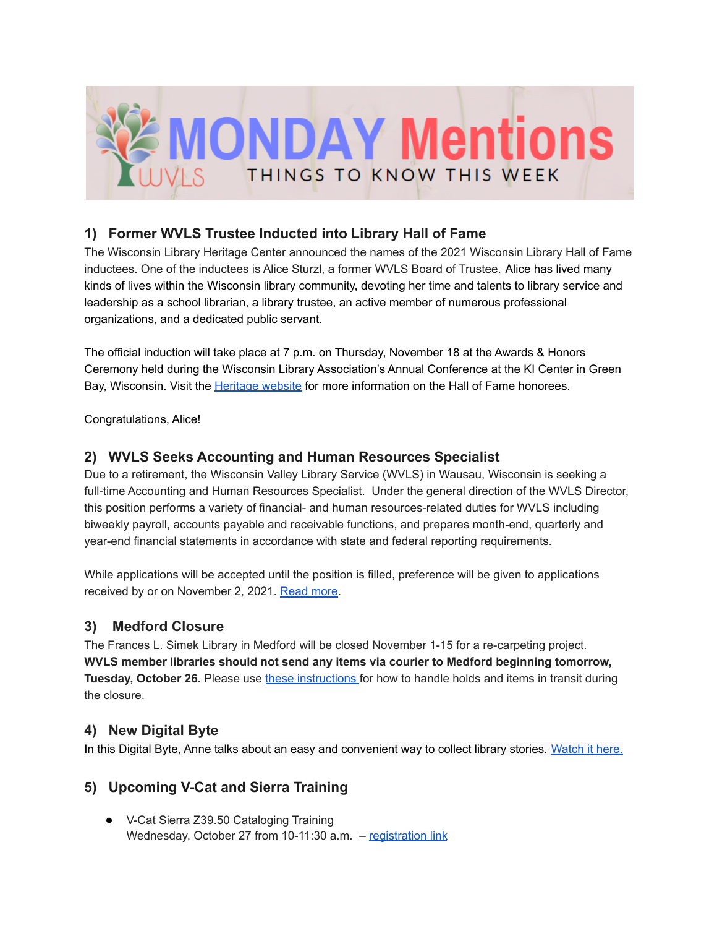

# **1) Former WVLS Trustee Inducted into Library Hall of Fame**

The Wisconsin Library Heritage Center announced the names of the 2021 Wisconsin Library Hall of Fame inductees. One of the inductees is Alice Sturzl, a former WVLS Board of Trustee. Alice has lived many kinds of lives within the Wisconsin library community, devoting her time and talents to library service and leadership as a school librarian, a library trustee, an active member of numerous professional organizations, and a dedicated public servant.

The official induction will take place at 7 p.m. on Thursday, November 18 at the Awards & Honors Ceremony held during the Wisconsin Library Association's Annual Conference at the KI Center in Green Bay, Wisconsin. Visit the **Heritage website** for more information on the Hall of Fame honorees.

Congratulations, Alice!

#### **2) WVLS Seeks Accounting and Human Resources Specialist**

Due to a retirement, the Wisconsin Valley Library Service (WVLS) in Wausau, Wisconsin is seeking a full-time Accounting and Human Resources Specialist. Under the general direction of the WVLS Director, this position performs a variety of financial- and human resources-related duties for WVLS including biweekly payroll, accounts payable and receivable functions, and prepares month-end, quarterly and year-end financial statements in accordance with state and federal reporting requirements.

While applications will be accepted until the position is filled, preference will be given to applications received by or on November 2, 2021. [Read](https://wvls.org/wvls-accounting-and-human-resources-specialist/) more.

# **3) Medford Closure**

The Frances L. Simek Library in Medford will be closed November 1-15 for a re-carpeting project. **WVLS member libraries should not send any items via courier to Medford beginning tomorrow, Tuesday, October 26.** Please use these [instructions](https://drive.google.com/file/d/1v1gVC02X_3ZQRTqOXZ_0lMYCNzD4u1j8/view?usp=sharing) for how to handle holds and items in transit during the closure.

#### **4) New Digital Byte**

In this Digital Byte, Anne talks about an easy and convenient way to collect library stories. [Watch](https://youtu.be/m2qMY_pDKDk) it here.

# **5) Upcoming V-Cat and Sierra Training**

● V-Cat Sierra Z39.50 Cataloging Training Wednesday, October 27 from 10-11:30 a.m. - [registration](https://forms.gle/URXMAm6eFzKcKN5J8) link